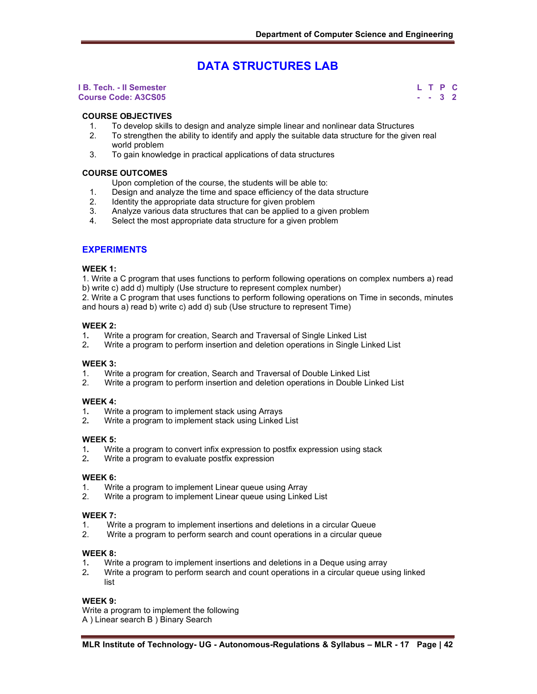# **DATA STRUCTURES LAB**

#### **I B. Tech. - II Semester L T P C Course Code: A3CS05 - - 3 2**

#### **COURSE OBJECTIVES**

- 1. To develop skills to design and analyze simple linear and nonlinear data Structures
- 2. To strengthen the ability to identify and apply the suitable data structure for the given real world problem
- 3. To gain knowledge in practical applications of data structures

#### **COURSE OUTCOMES**

Upon completion of the course, the students will be able to:

- 1. Design and analyze the time and space efficiency of the data structure
- 2. Identity the appropriate data structure for given problem<br>3. Analyze various data structures that can be applied to a
- Analyze various data structures that can be applied to a given problem
- 4. Select the most appropriate data structure for a given problem

#### **EXPERIMENTS**

#### **WEEK 1:**

1. Write a C program that uses functions to perform following operations on complex numbers a) read b) write c) add d) multiply (Use structure to represent complex number)

2. Write a C program that uses functions to perform following operations on Time in seconds, minutes and hours a) read b) write c) add d) sub (Use structure to represent Time)

# **WEEK 2:**

- 1**.** Write a program for creation, Search and Traversal of Single Linked List
- 2**.** Write a program to perform insertion and deletion operations in Single Linked List

#### **WEEK 3:**

- 1. Write a program for creation, Search and Traversal of Double Linked List
- 2. Write a program to perform insertion and deletion operations in Double Linked List

#### **WEEK 4:**

- 1**.** Write a program to implement stack using Arrays
- 2**.** Write a program to implement stack using Linked List

#### **WEEK 5:**

- 1**.** Write a program to convert infix expression to postfix expression using stack
- 2**.** Write a program to evaluate postfix expression

#### **WEEK 6:**

- 1. Write a program to implement Linear queue using Array
- 2. Write a program to implement Linear queue using Linked List

#### **WEEK 7:**

- 1. Write a program to implement insertions and deletions in a circular Queue
- 2. Write a program to perform search and count operations in a circular queue

#### **WEEK 8:**

- 1**.** Write a program to implement insertions and deletions in a Deque using array
- 2**.** Write a program to perform search and count operations in a circular queue using linked list

#### **WEEK 9:**

Write a program to implement the following

A ) Linear search B ) Binary Search